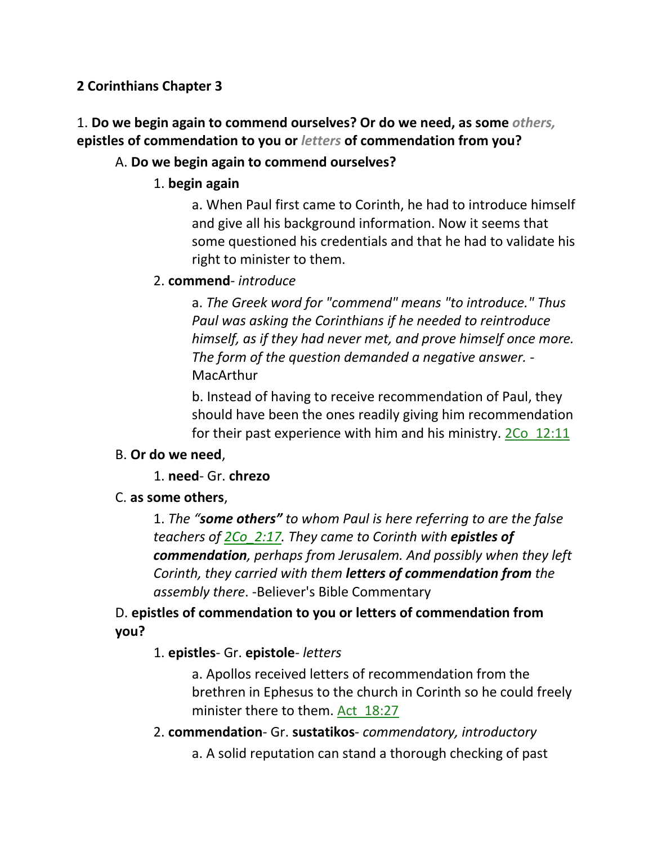**2 Corinthians Chapter 3**

1. **Do we begin again to commend ourselves? Or do we need, as some** *others,* **epistles of commendation to you or** *letters* **of commendation from you?** 

## A. **Do we begin again to commend ourselves?**

1. **begin again**

a. When Paul first came to Corinth, he had to introduce himself and give all his background information. Now it seems that some questioned his credentials and that he had to validate his right to minister to them.

2. **commend**- *introduce*

a. *The Greek word for "commend" means "to introduce." Thus Paul was asking the Corinthians if he needed to reintroduce himself, as if they had never met, and prove himself once more. The form of the question demanded a negative answer.* - MacArthur

b. Instead of having to receive recommendation of Paul, they should have been the ones readily giving him recommendation for their past experience with him and his ministry. 2Co\_12:11

## B. **Or do we need**,

## 1. **need**- Gr. **chrezo**

C. **as some others**,

1. *The "some others" to whom Paul is here referring to are the false teachers of 2Co\_2:17. They came to Corinth with epistles of commendation, perhaps from Jerusalem. And possibly when they left Corinth, they carried with them letters of commendation from the assembly there*. -Believer's Bible Commentary

D. **epistles of commendation to you or letters of commendation from you?**

## 1. **epistles**- Gr. **epistole**- *letters*

a. Apollos received letters of recommendation from the brethren in Ephesus to the church in Corinth so he could freely minister there to them. Act\_18:27

2. **commendation**- Gr. **sustatikos**- *commendatory, introductory* a. A solid reputation can stand a thorough checking of past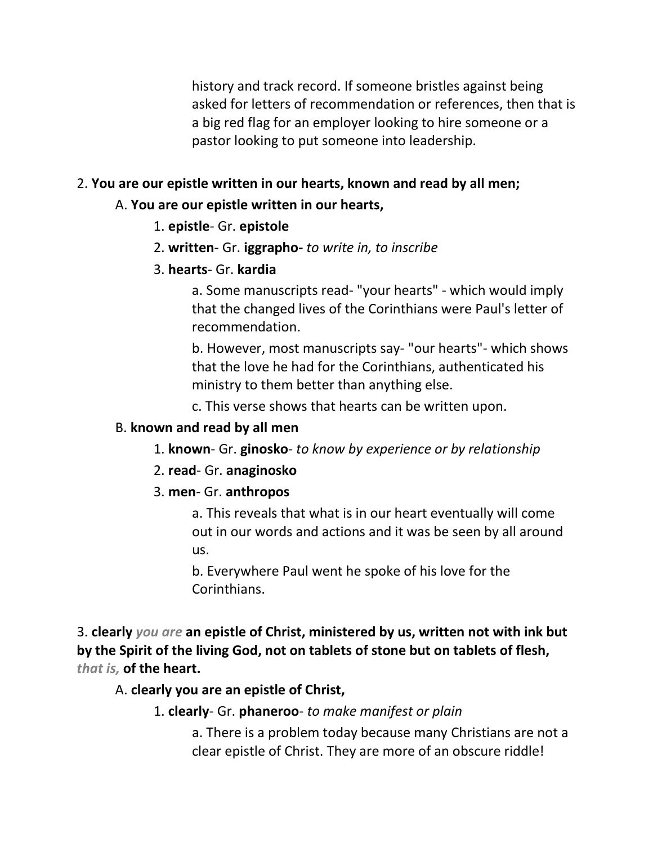history and track record. If someone bristles against being asked for letters of recommendation or references, then that is a big red flag for an employer looking to hire someone or a pastor looking to put someone into leadership.

## 2. **You are our epistle written in our hearts, known and read by all men;**

### A. **You are our epistle written in our hearts,**

- 1. **epistle** Gr. **epistole**
- 2. **written** Gr. **iggrapho-** *to write in, to inscribe*
- 3. **hearts** Gr. **kardia**

a. Some manuscripts read- "your hearts" - which would imply that the changed lives of the Corinthians were Paul's letter of recommendation.

b. However, most manuscripts say- "our hearts"- which shows that the love he had for the Corinthians, authenticated his ministry to them better than anything else.

c. This verse shows that hearts can be written upon.

### B. **known and read by all men**

- 1. **known** Gr. **ginosko** *to know by experience or by relationship*
- 2. **read** Gr. **anaginosko**

## 3. **men**- Gr. **anthropos**

a. This reveals that what is in our heart eventually will come out in our words and actions and it was be seen by all around us.

b. Everywhere Paul went he spoke of his love for the Corinthians.

3. **clearly** *you are* **an epistle of Christ, ministered by us, written not with ink but by the Spirit of the living God, not on tablets of stone but on tablets of flesh,**  *that is,* **of the heart.** 

A. **clearly you are an epistle of Christ,**

1. **clearly**- Gr. **phaneroo**- *to make manifest or plain*

a. There is a problem today because many Christians are not a clear epistle of Christ. They are more of an obscure riddle!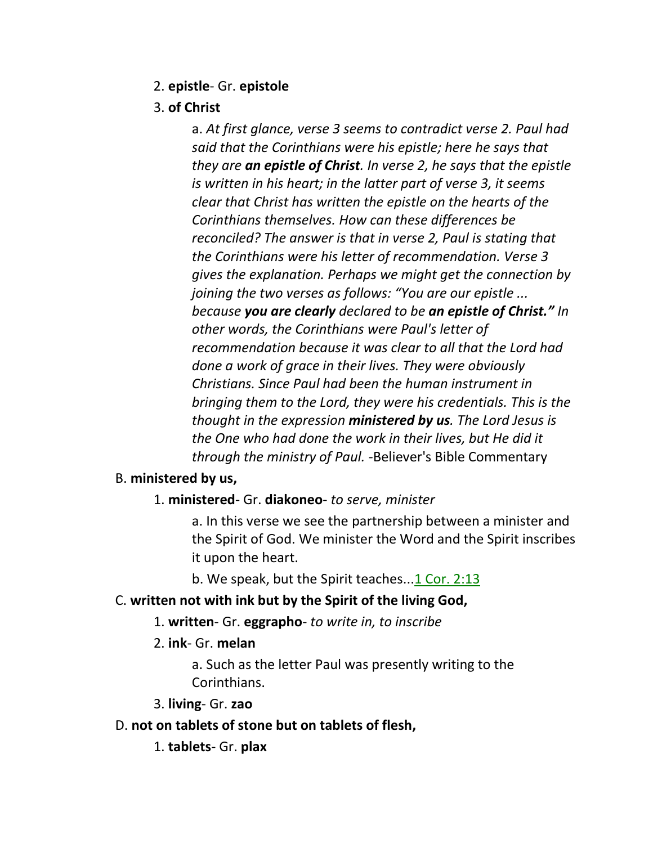### 2. **epistle**- Gr. **epistole**

## 3. **of Christ**

a. *At first glance, verse 3 seems to contradict verse 2. Paul had said that the Corinthians were his epistle; here he says that they are an epistle of Christ. In verse 2, he says that the epistle is written in his heart; in the latter part of verse 3, it seems clear that Christ has written the epistle on the hearts of the Corinthians themselves. How can these differences be reconciled? The answer is that in verse 2, Paul is stating that the Corinthians were his letter of recommendation. Verse 3 gives the explanation. Perhaps we might get the connection by joining the two verses as follows: "You are our epistle ... because you are clearly declared to be an epistle of Christ." In other words, the Corinthians were Paul's letter of recommendation because it was clear to all that the Lord had done a work of grace in their lives. They were obviously Christians. Since Paul had been the human instrument in bringing them to the Lord, they were his credentials. This is the thought in the expression ministered by us. The Lord Jesus is the One who had done the work in their lives, but He did it through the ministry of Paul. -*Believer's Bible Commentary

### B. **ministered by us,**

1. **ministered**- Gr. **diakoneo**- *to serve, minister*

a. In this verse we see the partnership between a minister and the Spirit of God. We minister the Word and the Spirit inscribes it upon the heart.

b. We speak, but the Spirit teaches...1 Cor. 2:13

### C. **written not with ink but by the Spirit of the living God,**

- 1. **written** Gr. **eggrapho** *to write in, to inscribe*
- 2. **ink** Gr. **melan**

a. Such as the letter Paul was presently writing to the Corinthians.

3. **living**- Gr. **zao**

### D. **not on tablets of stone but on tablets of flesh,**

1. **tablets**- Gr. **plax**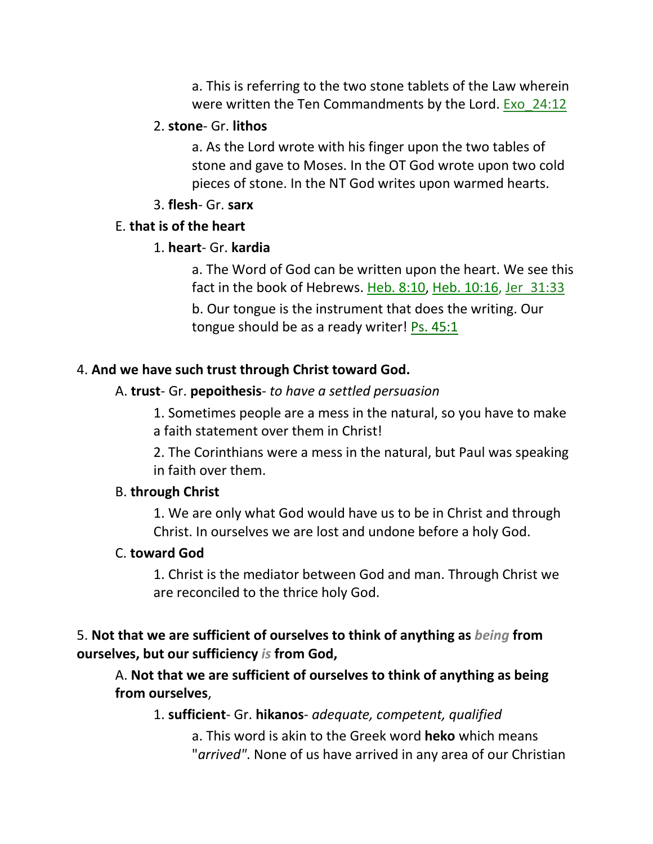a. This is referring to the two stone tablets of the Law wherein were written the Ten Commandments by the Lord. Exo\_24:12

#### 2. **stone**- Gr. **lithos**

a. As the Lord wrote with his finger upon the two tables of stone and gave to Moses. In the OT God wrote upon two cold pieces of stone. In the NT God writes upon warmed hearts.

#### 3. **flesh**- Gr. **sarx**

### E. **that is of the heart**

### 1. **heart**- Gr. **kardia**

a. The Word of God can be written upon the heart. We see this fact in the book of Hebrews. Heb. 8:10, Heb. 10:16, Jer\_31:33 b. Our tongue is the instrument that does the writing. Our tongue should be as a ready writer!  $Ps. 45:1$ 

### 4. **And we have such trust through Christ toward God.**

### A. **trust**- Gr. **pepoithesis**- *to have a settled persuasion*

1. Sometimes people are a mess in the natural, so you have to make a faith statement over them in Christ!

2. The Corinthians were a mess in the natural, but Paul was speaking in faith over them.

### B. **through Christ**

1. We are only what God would have us to be in Christ and through Christ. In ourselves we are lost and undone before a holy God.

### C. **toward God**

1. Christ is the mediator between God and man. Through Christ we are reconciled to the thrice holy God.

## 5. **Not that we are sufficient of ourselves to think of anything as** *being* **from ourselves, but our sufficiency** *is* **from God,**

A. **Not that we are sufficient of ourselves to think of anything as being from ourselves**,

1. **sufficient**- Gr. **hikanos**- *adequate, competent, qualified*

a. This word is akin to the Greek word **heko** which means "*arrived"*. None of us have arrived in any area of our Christian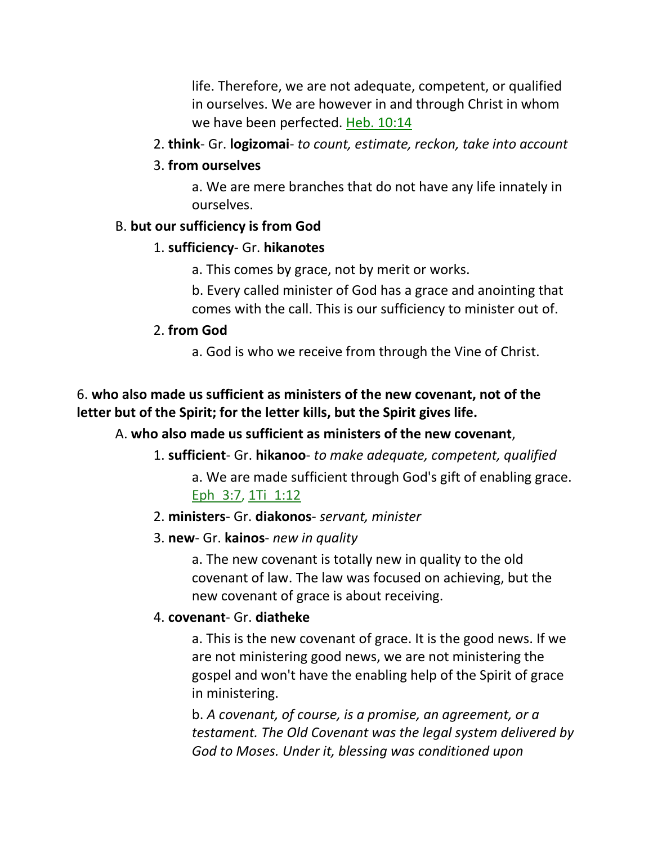life. Therefore, we are not adequate, competent, or qualified in ourselves. We are however in and through Christ in whom we have been perfected. Heb. 10:14

2. **think**- Gr. **logizomai**- *to count, estimate, reckon, take into account*

### 3. **from ourselves**

a. We are mere branches that do not have any life innately in ourselves.

## B. **but our sufficiency is from God**

## 1. **sufficiency**- Gr. **hikanotes**

a. This comes by grace, not by merit or works.

b. Every called minister of God has a grace and anointing that comes with the call. This is our sufficiency to minister out of.

### 2. **from God**

a. God is who we receive from through the Vine of Christ.

## 6. **who also made us sufficient as ministers of the new covenant, not of the letter but of the Spirit; for the letter kills, but the Spirit gives life.**

## A. **who also made us sufficient as ministers of the new covenant**,

## 1. **sufficient**- Gr. **hikanoo**- *to make adequate, competent, qualified*

a. We are made sufficient through God's gift of enabling grace. Eph 3:7, 1Ti 1:12

## 2. **ministers**- Gr. **diakonos**- *servant, minister*

## 3. **new**- Gr. **kainos**- *new in quality*

a. The new covenant is totally new in quality to the old covenant of law. The law was focused on achieving, but the new covenant of grace is about receiving.

### 4. **covenant**- Gr. **diatheke**

a. This is the new covenant of grace. It is the good news. If we are not ministering good news, we are not ministering the gospel and won't have the enabling help of the Spirit of grace in ministering.

b. *A covenant, of course, is a promise, an agreement, or a testament. The Old Covenant was the legal system delivered by God to Moses. Under it, blessing was conditioned upon*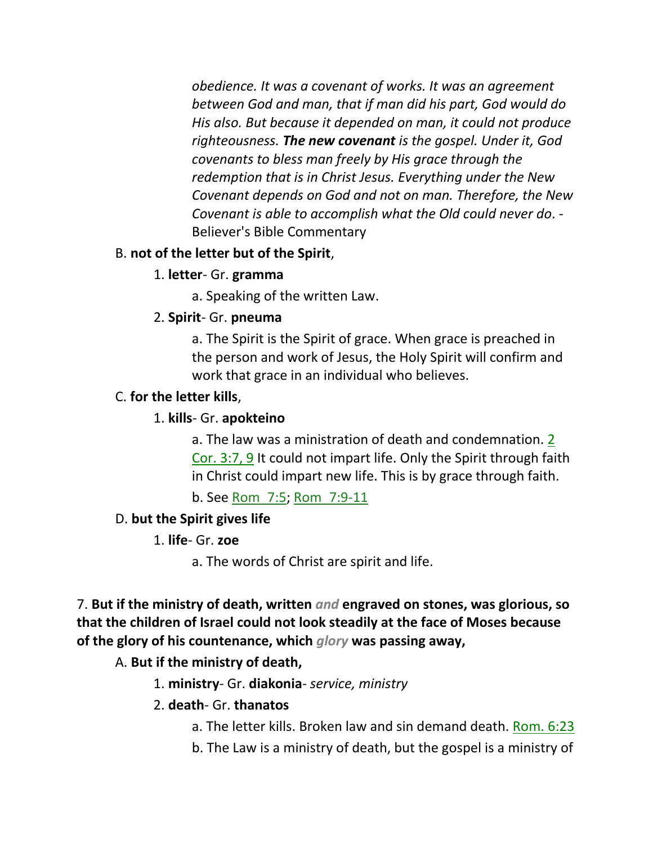*obedience. It was a covenant of works. It was an agreement between God and man, that if man did his part, God would do His also. But because it depended on man, it could not produce righteousness. The new covenant is the gospel. Under it, God covenants to bless man freely by His grace through the redemption that is in Christ Jesus. Everything under the New Covenant depends on God and not on man. Therefore, the New Covenant is able to accomplish what the Old could never do*. - Believer's Bible Commentary

### B. **not of the letter but of the Spirit**,

### 1. **letter**- Gr. **gramma**

a. Speaking of the written Law.

### 2. **Spirit**- Gr. **pneuma**

a. The Spirit is the Spirit of grace. When grace is preached in the person and work of Jesus, the Holy Spirit will confirm and work that grace in an individual who believes.

## C. **for the letter kills**,

### 1. **kills**- Gr. **apokteino**

a. The law was a ministration of death and condemnation. 2 Cor. 3:7, 9 It could not impart life. Only the Spirit through faith in Christ could impart new life. This is by grace through faith.

b. See Rom\_7:5; Rom\_7:9-11

## D. **but the Spirit gives life**

### 1. **life**- Gr. **zoe**

a. The words of Christ are spirit and life.

7. **But if the ministry of death, written** *and* **engraved on stones, was glorious, so that the children of Israel could not look steadily at the face of Moses because of the glory of his countenance, which** *glory* **was passing away,** 

## A. **But if the ministry of death,**

1. **ministry**- Gr. **diakonia**- *service, ministry*

### 2. **death**- Gr. **thanatos**

- a. The letter kills. Broken law and sin demand death. Rom. 6:23
- b. The Law is a ministry of death, but the gospel is a ministry of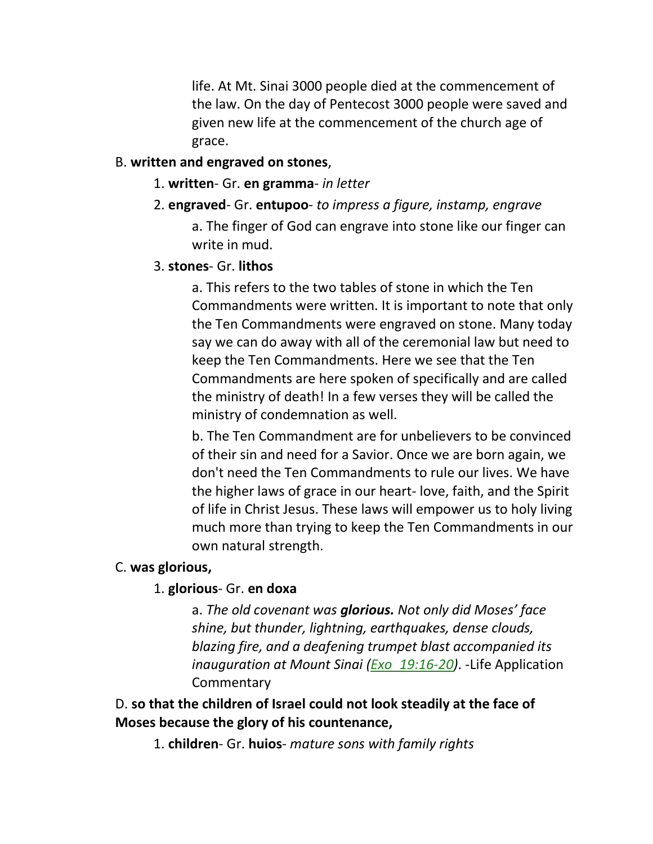life. At Mt. Sinai 3000 people died at the commencement of the law. On the day of Pentecost 3000 people were saved and given new life at the commencement of the church age of grace.

#### B. **written and engraved on stones**,

- 1. **written** Gr. **en gramma** *in letter*
- 2. **engraved** Gr. **entupoo** *to impress a figure, instamp, engrave* a. The finger of God can engrave into stone like our finger can write in mud.

#### 3. **stones**- Gr. **lithos**

a. This refers to the two tables of stone in which the Ten Commandments were written. It is important to note that only the Ten Commandments were engraved on stone. Many today say we can do away with all of the ceremonial law but need to keep the Ten Commandments. Here we see that the Ten Commandments are here spoken of specifically and are called the ministry of death! In a few verses they will be called the ministry of condemnation as well.

b. The Ten Commandment are for unbelievers to be convinced of their sin and need for a Savior. Once we are born again, we don't need the Ten Commandments to rule our lives. We have the higher laws of grace in our heart- love, faith, and the Spirit of life in Christ Jesus. These laws will empower us to holy living much more than trying to keep the Ten Commandments in our own natural strength.

#### C. **was glorious,**

#### 1. **glorious**- Gr. **en doxa**

a. *The old covenant was glorious. Not only did Moses' face shine, but thunder, lightning, earthquakes, dense clouds, blazing fire, and a deafening trumpet blast accompanied its inauguration at Mount Sinai (Exo\_19:16-20)*. -Life Application **Commentary** 

### D. **so that the children of Israel could not look steadily at the face of Moses because the glory of his countenance,**

1. **children**- Gr. **huios**- *mature sons with family rights*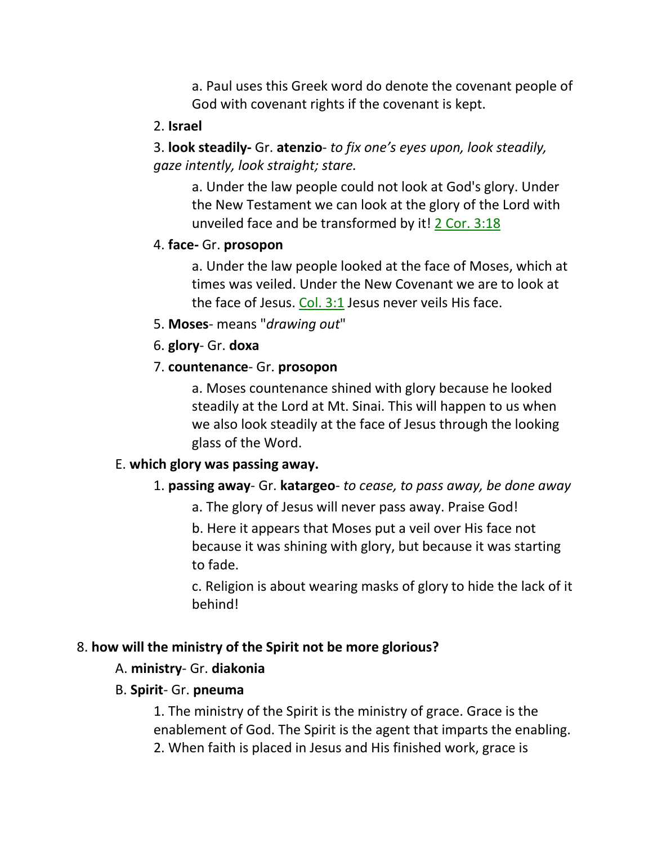a. Paul uses this Greek word do denote the covenant people of God with covenant rights if the covenant is kept.

### 2. **Israel**

3. **look steadily-** Gr. **atenzio**- *to fix one's eyes upon, look steadily, gaze intently, look straight; stare.*

a. Under the law people could not look at God's glory. Under the New Testament we can look at the glory of the Lord with unveiled face and be transformed by it! 2 Cor. 3:18

### 4. **face-** Gr. **prosopon**

a. Under the law people looked at the face of Moses, which at times was veiled. Under the New Covenant we are to look at the face of Jesus. Col. 3:1 Jesus never veils His face.

5. **Moses**- means "*drawing out*"

6. **glory**- Gr. **doxa**

### 7. **countenance**- Gr. **prosopon**

a. Moses countenance shined with glory because he looked steadily at the Lord at Mt. Sinai. This will happen to us when we also look steadily at the face of Jesus through the looking glass of the Word.

### E. **which glory was passing away.**

### 1. **passing away**- Gr. **katargeo**- *to cease, to pass away, be done away*

a. The glory of Jesus will never pass away. Praise God!

b. Here it appears that Moses put a veil over His face not because it was shining with glory, but because it was starting to fade.

c. Religion is about wearing masks of glory to hide the lack of it behind!

## 8. **how will the ministry of the Spirit not be more glorious?**

## A. **ministry**- Gr. **diakonia**

## B. **Spirit**- Gr. **pneuma**

1. The ministry of the Spirit is the ministry of grace. Grace is the enablement of God. The Spirit is the agent that imparts the enabling. 2. When faith is placed in Jesus and His finished work, grace is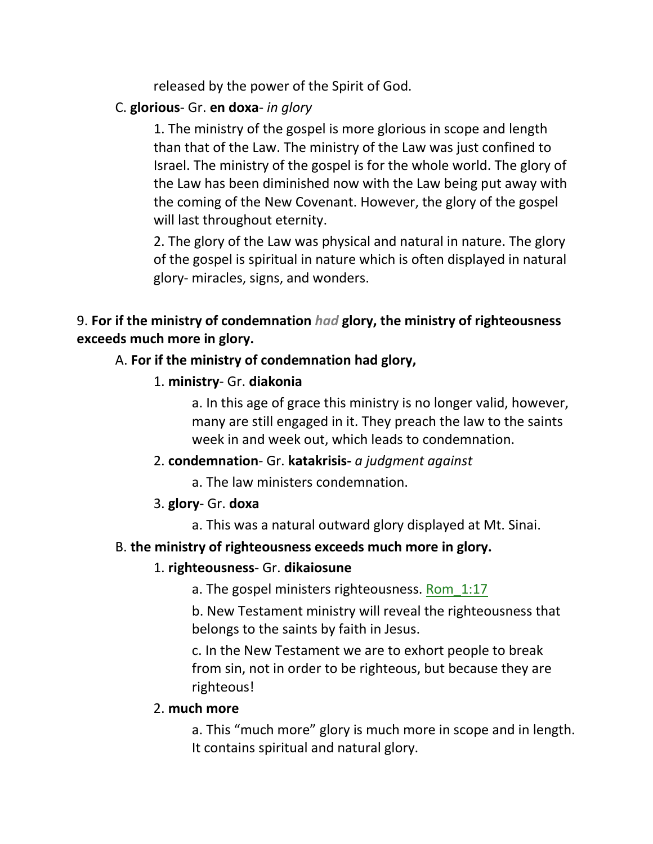released by the power of the Spirit of God.

## C. **glorious**- Gr. **en doxa**- *in glory*

1. The ministry of the gospel is more glorious in scope and length than that of the Law. The ministry of the Law was just confined to Israel. The ministry of the gospel is for the whole world. The glory of the Law has been diminished now with the Law being put away with the coming of the New Covenant. However, the glory of the gospel will last throughout eternity.

2. The glory of the Law was physical and natural in nature. The glory of the gospel is spiritual in nature which is often displayed in natural glory- miracles, signs, and wonders.

## 9. **For if the ministry of condemnation** *had* **glory, the ministry of righteousness exceeds much more in glory.**

## A. **For if the ministry of condemnation had glory,**

1. **ministry**- Gr. **diakonia**

a. In this age of grace this ministry is no longer valid, however, many are still engaged in it. They preach the law to the saints week in and week out, which leads to condemnation.

## 2. **condemnation**- Gr. **katakrisis-** *a judgment against*

a. The law ministers condemnation.

## 3. **glory**- Gr. **doxa**

a. This was a natural outward glory displayed at Mt. Sinai.

## B. **the ministry of righteousness exceeds much more in glory.**

## 1. **righteousness**- Gr. **dikaiosune**

a. The gospel ministers righteousness. Rom 1:17

b. New Testament ministry will reveal the righteousness that belongs to the saints by faith in Jesus.

c. In the New Testament we are to exhort people to break from sin, not in order to be righteous, but because they are righteous!

## 2. **much more**

a. This "much more" glory is much more in scope and in length. It contains spiritual and natural glory.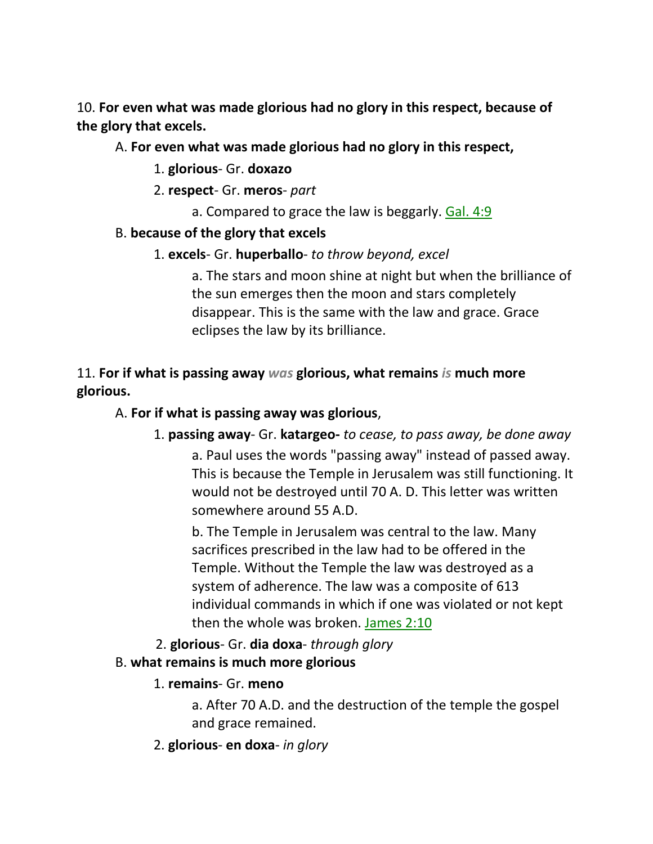10. **For even what was made glorious had no glory in this respect, because of the glory that excels.** 

## A. **For even what was made glorious had no glory in this respect,**

- 1. **glorious** Gr. **doxazo**
- 2. **respect** Gr. **meros** *part*
	- a. Compared to grace the law is beggarly. Gal. 4:9

## B. **because of the glory that excels**

1. **excels**- Gr. **huperballo**- *to throw beyond, excel*

a. The stars and moon shine at night but when the brilliance of the sun emerges then the moon and stars completely disappear. This is the same with the law and grace. Grace eclipses the law by its brilliance.

## 11. **For if what is passing away** *was* **glorious, what remains** *is* **much more glorious.**

## A. **For if what is passing away was glorious**,

## 1. **passing away**- Gr. **katargeo-** *to cease, to pass away, be done away*

a. Paul uses the words "passing away" instead of passed away. This is because the Temple in Jerusalem was still functioning. It would not be destroyed until 70 A. D. This letter was written somewhere around 55 A.D.

b. The Temple in Jerusalem was central to the law. Many sacrifices prescribed in the law had to be offered in the Temple. Without the Temple the law was destroyed as a system of adherence. The law was a composite of 613 individual commands in which if one was violated or not kept then the whole was broken. James 2:10

2. **glorious**- Gr. **dia doxa**- *through glory*

## B. **what remains is much more glorious**

## 1. **remains**- Gr. **meno**

a. After 70 A.D. and the destruction of the temple the gospel and grace remained.

2. **glorious**- **en doxa**- *in glory*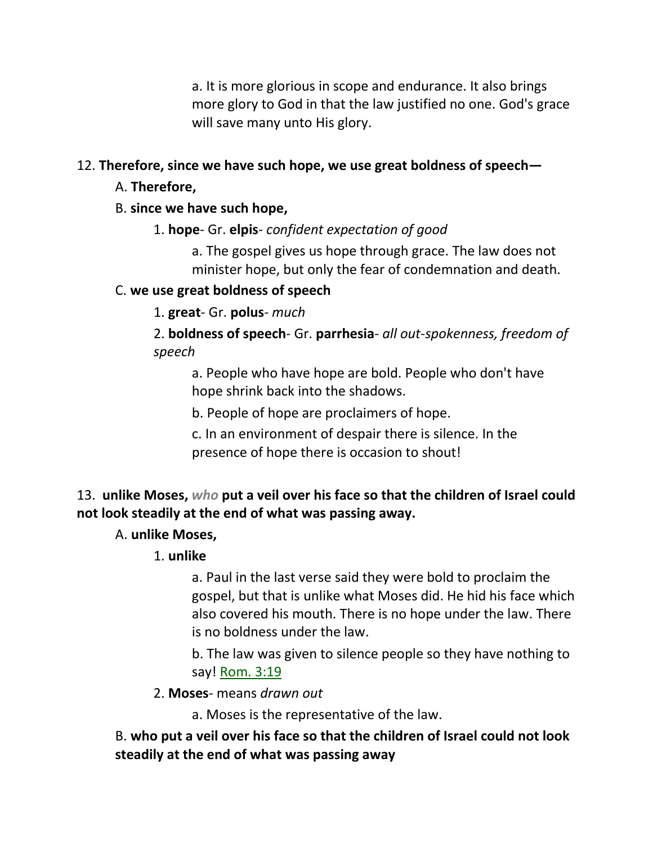a. It is more glorious in scope and endurance. It also brings more glory to God in that the law justified no one. God's grace will save many unto His glory.

## 12. **Therefore, since we have such hope, we use great boldness of speech—**

- A. **Therefore,**
- B. **since we have such hope,**
	- 1. **hope** Gr. **elpis** *confident expectation of good*

a. The gospel gives us hope through grace. The law does not minister hope, but only the fear of condemnation and death.

## C. **we use great boldness of speech**

## 1. **great**- Gr. **polus**- *much*

2. **boldness of speech**- Gr. **parrhesia**- *all out-spokenness, freedom of speech*

a. People who have hope are bold. People who don't have hope shrink back into the shadows.

b. People of hope are proclaimers of hope.

c. In an environment of despair there is silence. In the presence of hope there is occasion to shout!

# 13. **unlike Moses,** *who* **put a veil over his face so that the children of Israel could not look steadily at the end of what was passing away.**

## A. **unlike Moses,**

## 1. **unlike**

a. Paul in the last verse said they were bold to proclaim the gospel, but that is unlike what Moses did. He hid his face which also covered his mouth. There is no hope under the law. There is no boldness under the law.

b. The law was given to silence people so they have nothing to say! **Rom. 3:19** 

2. **Moses**- means *drawn out*

a. Moses is the representative of the law.

## B. **who put a veil over his face so that the children of Israel could not look steadily at the end of what was passing away**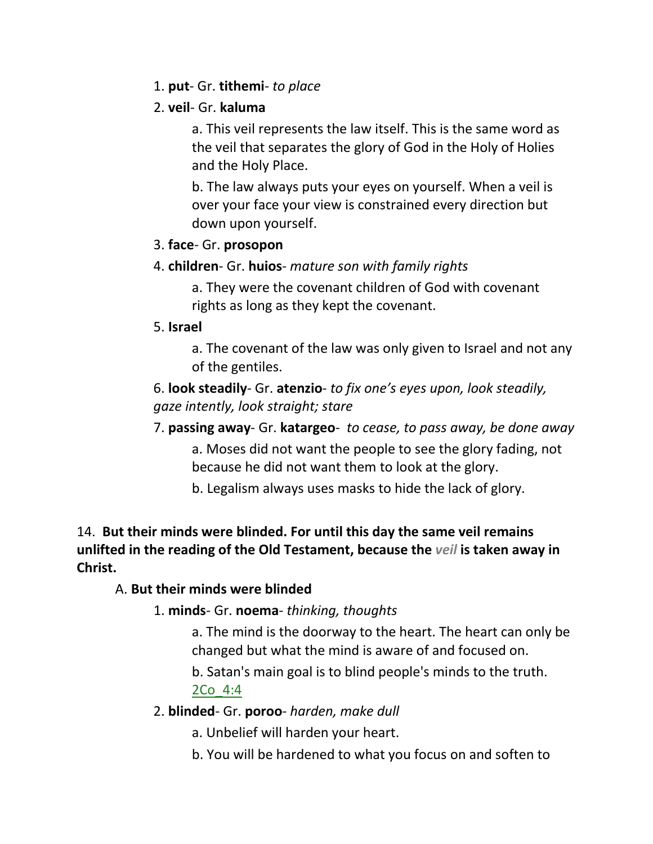### 1. **put**- Gr. **tithemi**- *to place*

### 2. **veil**- Gr. **kaluma**

a. This veil represents the law itself. This is the same word as the veil that separates the glory of God in the Holy of Holies and the Holy Place.

b. The law always puts your eyes on yourself. When a veil is over your face your view is constrained every direction but down upon yourself.

## 3. **face**- Gr. **prosopon**

## 4. **children**- Gr. **huios**- *mature son with family rights*

a. They were the covenant children of God with covenant rights as long as they kept the covenant.

## 5. **Israel**

a. The covenant of the law was only given to Israel and not any of the gentiles.

6. **look steadily**- Gr. **atenzio**- *to fix one's eyes upon, look steadily, gaze intently, look straight; stare*

- 7. **passing away** Gr. **katargeo** *to cease, to pass away, be done away* a. Moses did not want the people to see the glory fading, not because he did not want them to look at the glory.
	- b. Legalism always uses masks to hide the lack of glory.

## 14. **But their minds were blinded. For until this day the same veil remains unlifted in the reading of the Old Testament, because the** *veil* **is taken away in Christ.**

## A. **But their minds were blinded**

## 1. **minds**- Gr. **noema**- *thinking, thoughts*

a. The mind is the doorway to the heart. The heart can only be changed but what the mind is aware of and focused on.

b. Satan's main goal is to blind people's minds to the truth. 2Co\_4:4

## 2. **blinded**- Gr. **poroo**- *harden, make dull*

a. Unbelief will harden your heart.

b. You will be hardened to what you focus on and soften to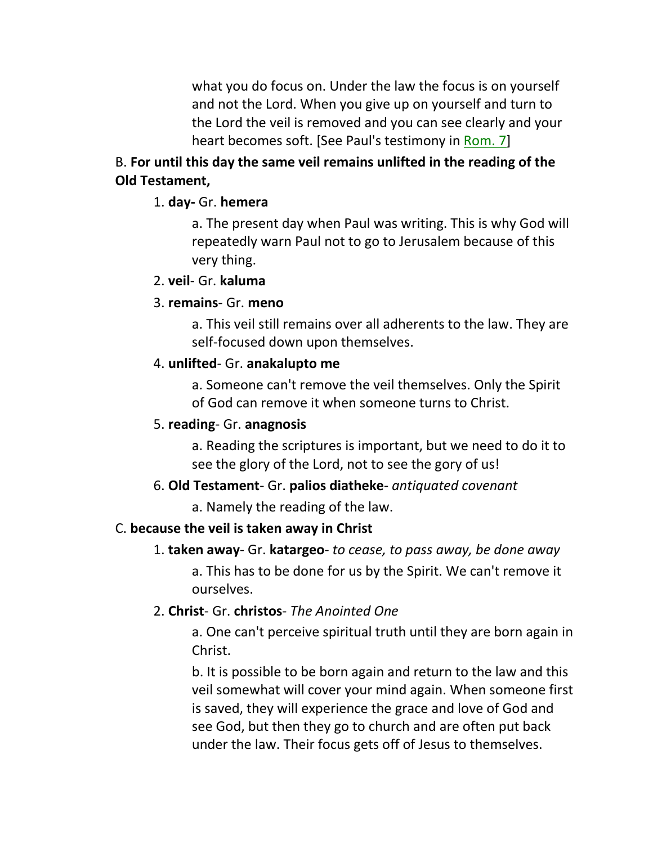what you do focus on. Under the law the focus is on yourself and not the Lord. When you give up on yourself and turn to the Lord the veil is removed and you can see clearly and your heart becomes soft. [See Paul's testimony in Rom. 7]

## B. **For until this day the same veil remains unlifted in the reading of the Old Testament,**

### 1. **day-** Gr. **hemera**

a. The present day when Paul was writing. This is why God will repeatedly warn Paul not to go to Jerusalem because of this very thing.

#### 2. **veil**- Gr. **kaluma**

#### 3. **remains**- Gr. **meno**

a. This veil still remains over all adherents to the law. They are self-focused down upon themselves.

#### 4. **unlifted**- Gr. **anakalupto me**

a. Someone can't remove the veil themselves. Only the Spirit of God can remove it when someone turns to Christ.

#### 5. **reading**- Gr. **anagnosis**

a. Reading the scriptures is important, but we need to do it to see the glory of the Lord, not to see the gory of us!

### 6. **Old Testament**- Gr. **palios diatheke**- *antiquated covenant*

a. Namely the reading of the law.

### C. **because the veil is taken away in Christ**

### 1. **taken away**- Gr. **katargeo**- *to cease, to pass away, be done away*

a. This has to be done for us by the Spirit. We can't remove it ourselves.

### 2. **Christ**- Gr. **christos**- *The Anointed One*

a. One can't perceive spiritual truth until they are born again in Christ.

b. It is possible to be born again and return to the law and this veil somewhat will cover your mind again. When someone first is saved, they will experience the grace and love of God and see God, but then they go to church and are often put back under the law. Their focus gets off of Jesus to themselves.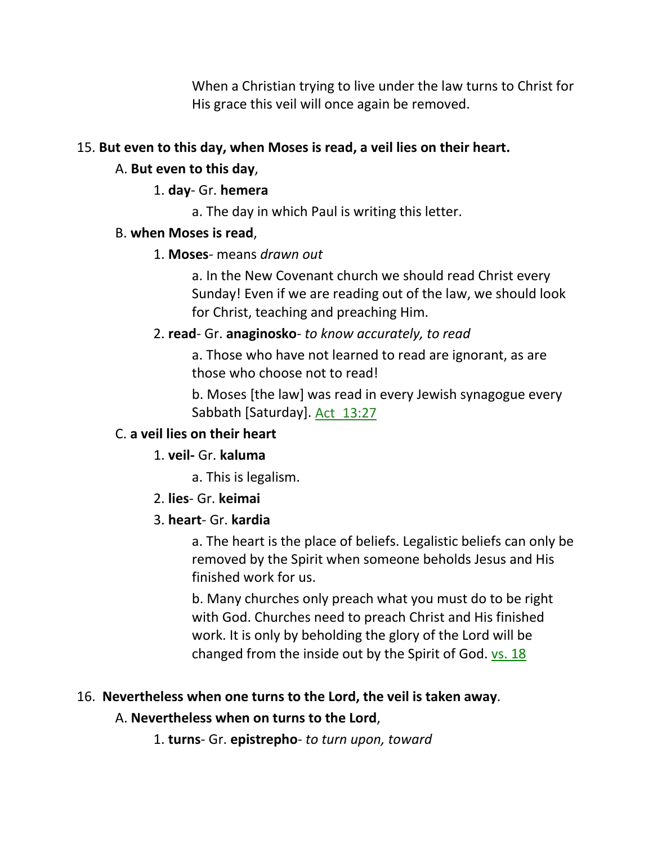When a Christian trying to live under the law turns to Christ for His grace this veil will once again be removed.

#### 15. **But even to this day, when Moses is read, a veil lies on their heart.**

#### A. **But even to this day**,

#### 1. **day**- Gr. **hemera**

a. The day in which Paul is writing this letter.

#### B. **when Moses is read**,

### 1. **Moses**- means *drawn out*

a. In the New Covenant church we should read Christ every Sunday! Even if we are reading out of the law, we should look for Christ, teaching and preaching Him.

### 2. **read**- Gr. **anaginosko**- *to know accurately, to read*

a. Those who have not learned to read are ignorant, as are those who choose not to read!

b. Moses [the law] was read in every Jewish synagogue every Sabbath [Saturday]. Act\_13:27

## C. **a veil lies on their heart**

### 1. **veil-** Gr. **kaluma**

a. This is legalism.

2. **lies**- Gr. **keimai**

### 3. **heart**- Gr. **kardia**

a. The heart is the place of beliefs. Legalistic beliefs can only be removed by the Spirit when someone beholds Jesus and His finished work for us.

b. Many churches only preach what you must do to be right with God. Churches need to preach Christ and His finished work. It is only by beholding the glory of the Lord will be changed from the inside out by the Spirit of God. vs. 18

### 16. **Nevertheless when one turns to the Lord, the veil is taken away**.

### A. **Nevertheless when on turns to the Lord**,

1. **turns**- Gr. **epistrepho**- *to turn upon, toward*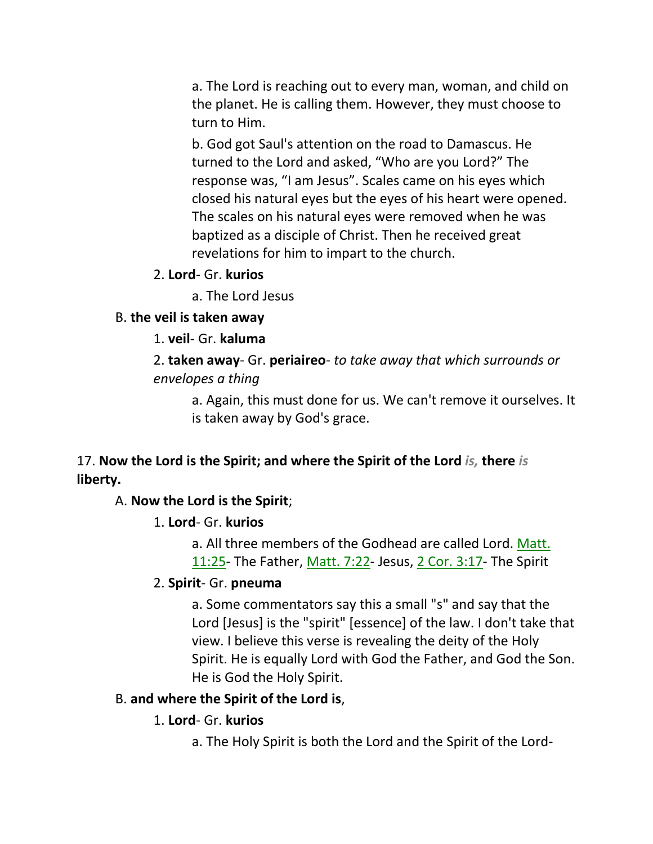a. The Lord is reaching out to every man, woman, and child on the planet. He is calling them. However, they must choose to turn to Him.

b. God got Saul's attention on the road to Damascus. He turned to the Lord and asked, "Who are you Lord?" The response was, "I am Jesus". Scales came on his eyes which closed his natural eyes but the eyes of his heart were opened. The scales on his natural eyes were removed when he was baptized as a disciple of Christ. Then he received great revelations for him to impart to the church.

2. **Lord**- Gr. **kurios**

a. The Lord Jesus

#### B. **the veil is taken away**

1. **veil**- Gr. **kaluma**

2. **taken away**- Gr. **periaireo**- *to take away that which surrounds or envelopes a thing*

a. Again, this must done for us. We can't remove it ourselves. It is taken away by God's grace.

### 17. **Now the Lord is the Spirit; and where the Spirit of the Lord** *is,* **there** *is* **liberty.**

#### A. **Now the Lord is the Spirit**;

#### 1. **Lord**- Gr. **kurios**

a. All three members of the Godhead are called Lord. Matt. 11:25- The Father, Matt. 7:22- Jesus, 2 Cor. 3:17- The Spirit

#### 2. **Spirit**- Gr. **pneuma**

a. Some commentators say this a small "s" and say that the Lord [Jesus] is the "spirit" [essence] of the law. I don't take that view. I believe this verse is revealing the deity of the Holy Spirit. He is equally Lord with God the Father, and God the Son. He is God the Holy Spirit.

#### B. **and where the Spirit of the Lord is**,

#### 1. **Lord**- Gr. **kurios**

a. The Holy Spirit is both the Lord and the Spirit of the Lord-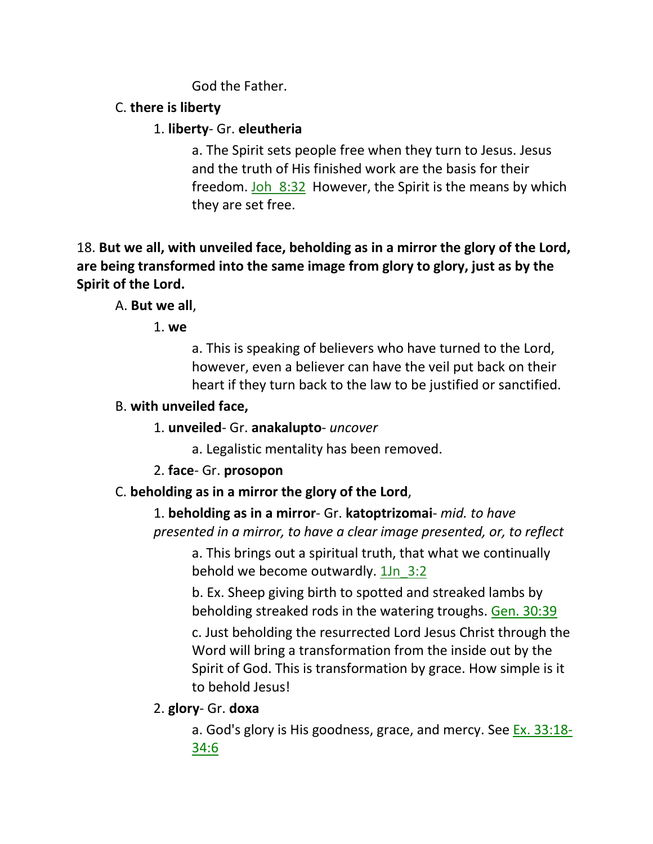God the Father.

# C. **there is liberty**

## 1. **liberty**- Gr. **eleutheria**

a. The Spirit sets people free when they turn to Jesus. Jesus and the truth of His finished work are the basis for their freedom. Joh  $8:32$  However, the Spirit is the means by which they are set free.

18. **But we all, with unveiled face, beholding as in a mirror the glory of the Lord, are being transformed into the same image from glory to glory, just as by the Spirit of the Lord.** 

# A. **But we all**,

1. **we**

a. This is speaking of believers who have turned to the Lord, however, even a believer can have the veil put back on their heart if they turn back to the law to be justified or sanctified.

## B. **with unveiled face,**

- 1. **unveiled** Gr. **anakalupto** *uncover*
	- a. Legalistic mentality has been removed.

# 2. **face**- Gr. **prosopon**

# C. **beholding as in a mirror the glory of the Lord**,

1. **beholding as in a mirror**- Gr. **katoptrizomai**- *mid. to have presented in a mirror, to have a clear image presented, or, to reflect*

a. This brings out a spiritual truth, that what we continually behold we become outwardly.  $1\ln 3:2$ 

b. Ex. Sheep giving birth to spotted and streaked lambs by beholding streaked rods in the watering troughs. Gen. 30:39

c. Just beholding the resurrected Lord Jesus Christ through the Word will bring a transformation from the inside out by the Spirit of God. This is transformation by grace. How simple is it to behold Jesus!

2. **glory**- Gr. **doxa**

a. God's glory is His goodness, grace, and mercy. See Ex. 33:18- 34:6